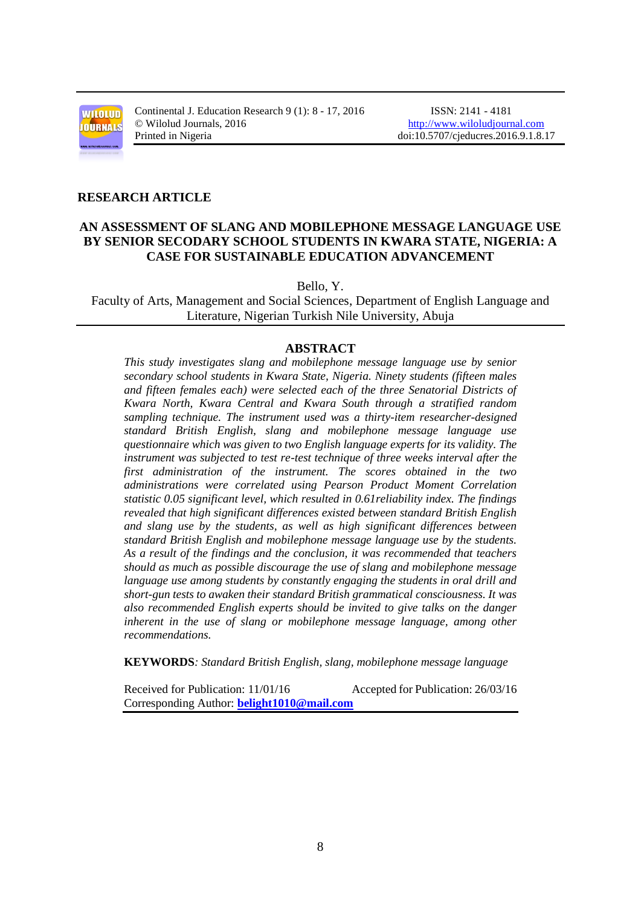

Continental J. Education Research 9 (1): 8 - 17, 2016 ISSN: 2141 - 4181 © Wilolud Journals, 2016 [http://www.wiloludjournal.com](http://www.wiloludjournal.com/) Printed in Nigeria doi:10.5707/cjeducres.2016.9.1.8.17

## **RESEARCH ARTICLE**

# **AN ASSESSMENT OF SLANG AND MOBILEPHONE MESSAGE LANGUAGE USE BY SENIOR SECODARY SCHOOL STUDENTS IN KWARA STATE, NIGERIA: A CASE FOR SUSTAINABLE EDUCATION ADVANCEMENT**

Bello, Y.

Faculty of Arts, Management and Social Sciences, Department of English Language and Literature, Nigerian Turkish Nile University, Abuja

## **ABSTRACT**

*This study investigates slang and mobilephone message language use by senior secondary school students in Kwara State, Nigeria. Ninety students (fifteen males and fifteen females each) were selected each of the three Senatorial Districts of Kwara North, Kwara Central and Kwara South through a stratified random sampling technique. The instrument used was a thirty-item researcher-designed standard British English, slang and mobilephone message language use questionnaire which was given to two English language experts for its validity. The instrument was subjected to test re-test technique of three weeks interval after the first administration of the instrument. The scores obtained in the two administrations were correlated using Pearson Product Moment Correlation statistic 0.05 significant level, which resulted in 0.61reliability index. The findings revealed that high significant differences existed between standard British English and slang use by the students, as well as high significant differences between standard British English and mobilephone message language use by the students. As a result of the findings and the conclusion, it was recommended that teachers should as much as possible discourage the use of slang and mobilephone message language use among students by constantly engaging the students in oral drill and short-gun tests to awaken their standard British grammatical consciousness. It was also recommended English experts should be invited to give talks on the danger inherent in the use of slang or mobilephone message language, among other recommendations.*

**KEYWORDS***: Standard British English, slang, mobilephone message language* 

Received for Publication: 11/01/16 Accepted for Publication: 26/03/16 Corresponding Author: **[belight1010@mail.com](mailto:belight1010@mail.com)**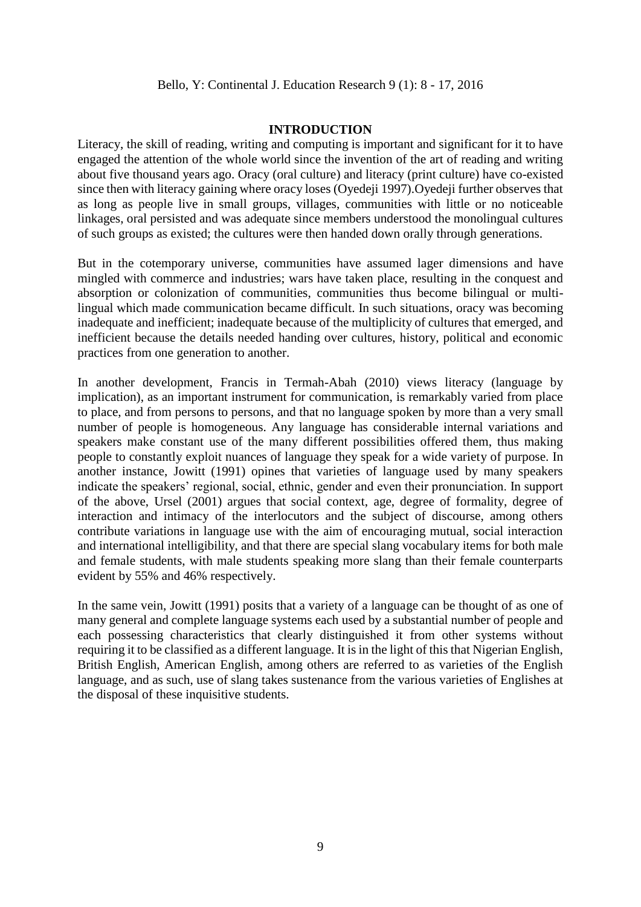## **INTRODUCTION**

Literacy, the skill of reading, writing and computing is important and significant for it to have engaged the attention of the whole world since the invention of the art of reading and writing about five thousand years ago. Oracy (oral culture) and literacy (print culture) have co-existed since then with literacy gaining where oracy loses (Oyedeji 1997).Oyedeji further observes that as long as people live in small groups, villages, communities with little or no noticeable linkages, oral persisted and was adequate since members understood the monolingual cultures of such groups as existed; the cultures were then handed down orally through generations.

But in the cotemporary universe, communities have assumed lager dimensions and have mingled with commerce and industries; wars have taken place, resulting in the conquest and absorption or colonization of communities, communities thus become bilingual or multilingual which made communication became difficult. In such situations, oracy was becoming inadequate and inefficient; inadequate because of the multiplicity of cultures that emerged, and inefficient because the details needed handing over cultures, history, political and economic practices from one generation to another.

In another development, Francis in Termah-Abah (2010) views literacy (language by implication), as an important instrument for communication, is remarkably varied from place to place, and from persons to persons, and that no language spoken by more than a very small number of people is homogeneous. Any language has considerable internal variations and speakers make constant use of the many different possibilities offered them, thus making people to constantly exploit nuances of language they speak for a wide variety of purpose. In another instance, Jowitt (1991) opines that varieties of language used by many speakers indicate the speakers' regional, social, ethnic, gender and even their pronunciation. In support of the above, Ursel (2001) argues that social context, age, degree of formality, degree of interaction and intimacy of the interlocutors and the subject of discourse, among others contribute variations in language use with the aim of encouraging mutual, social interaction and international intelligibility, and that there are special slang vocabulary items for both male and female students, with male students speaking more slang than their female counterparts evident by 55% and 46% respectively.

In the same vein, Jowitt (1991) posits that a variety of a language can be thought of as one of many general and complete language systems each used by a substantial number of people and each possessing characteristics that clearly distinguished it from other systems without requiring it to be classified as a different language. It is in the light of this that Nigerian English, British English, American English, among others are referred to as varieties of the English language, and as such, use of slang takes sustenance from the various varieties of Englishes at the disposal of these inquisitive students.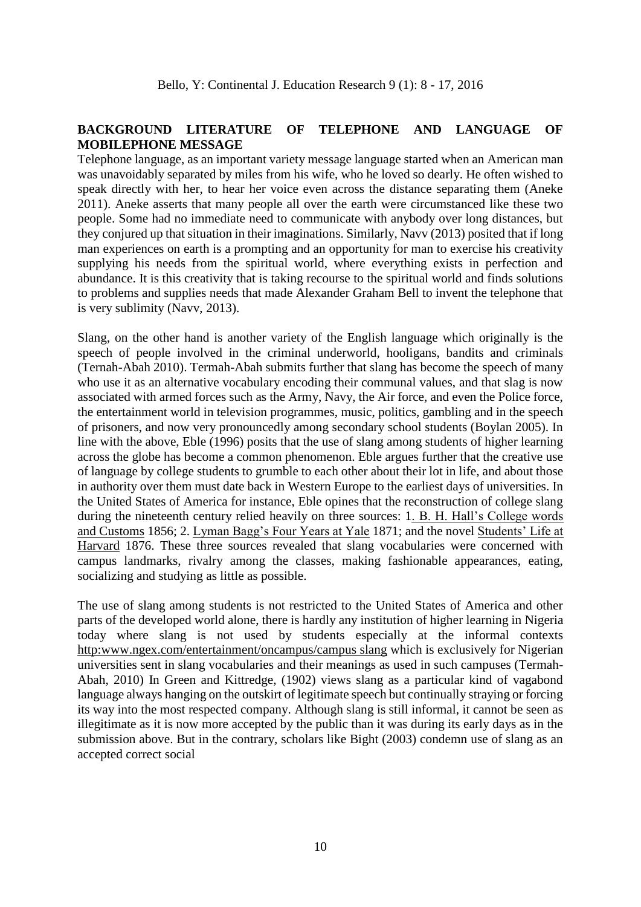# **BACKGROUND LITERATURE OF TELEPHONE AND LANGUAGE OF MOBILEPHONE MESSAGE**

Telephone language, as an important variety message language started when an American man was unavoidably separated by miles from his wife, who he loved so dearly. He often wished to speak directly with her, to hear her voice even across the distance separating them (Aneke 2011). Aneke asserts that many people all over the earth were circumstanced like these two people. Some had no immediate need to communicate with anybody over long distances, but they conjured up that situation in their imaginations. Similarly, Navv (2013) posited that if long man experiences on earth is a prompting and an opportunity for man to exercise his creativity supplying his needs from the spiritual world, where everything exists in perfection and abundance. It is this creativity that is taking recourse to the spiritual world and finds solutions to problems and supplies needs that made Alexander Graham Bell to invent the telephone that is very sublimity (Navv, 2013).

Slang, on the other hand is another variety of the English language which originally is the speech of people involved in the criminal underworld, hooligans, bandits and criminals (Ternah-Abah 2010). Termah-Abah submits further that slang has become the speech of many who use it as an alternative vocabulary encoding their communal values, and that slag is now associated with armed forces such as the Army, Navy, the Air force, and even the Police force, the entertainment world in television programmes, music, politics, gambling and in the speech of prisoners, and now very pronouncedly among secondary school students (Boylan 2005). In line with the above, Eble (1996) posits that the use of slang among students of higher learning across the globe has become a common phenomenon. Eble argues further that the creative use of language by college students to grumble to each other about their lot in life, and about those in authority over them must date back in Western Europe to the earliest days of universities. In the United States of America for instance, Eble opines that the reconstruction of college slang during the nineteenth century relied heavily on three sources: 1. B. H. Hall's College words and Customs 1856; 2. Lyman Bagg's Four Years at Yale 1871; and the novel Students' Life at Harvard 1876. These three sources revealed that slang vocabularies were concerned with campus landmarks, rivalry among the classes, making fashionable appearances, eating, socializing and studying as little as possible.

The use of slang among students is not restricted to the United States of America and other parts of the developed world alone, there is hardly any institution of higher learning in Nigeria today where slang is not used by students especially at the informal contexts http:www.ngex.com/entertainment/oncampus/campus slang which is exclusively for Nigerian universities sent in slang vocabularies and their meanings as used in such campuses (Termah-Abah, 2010) In Green and Kittredge, (1902) views slang as a particular kind of vagabond language always hanging on the outskirt of legitimate speech but continually straying or forcing its way into the most respected company. Although slang is still informal, it cannot be seen as illegitimate as it is now more accepted by the public than it was during its early days as in the submission above. But in the contrary, scholars like Bight (2003) condemn use of slang as an accepted correct social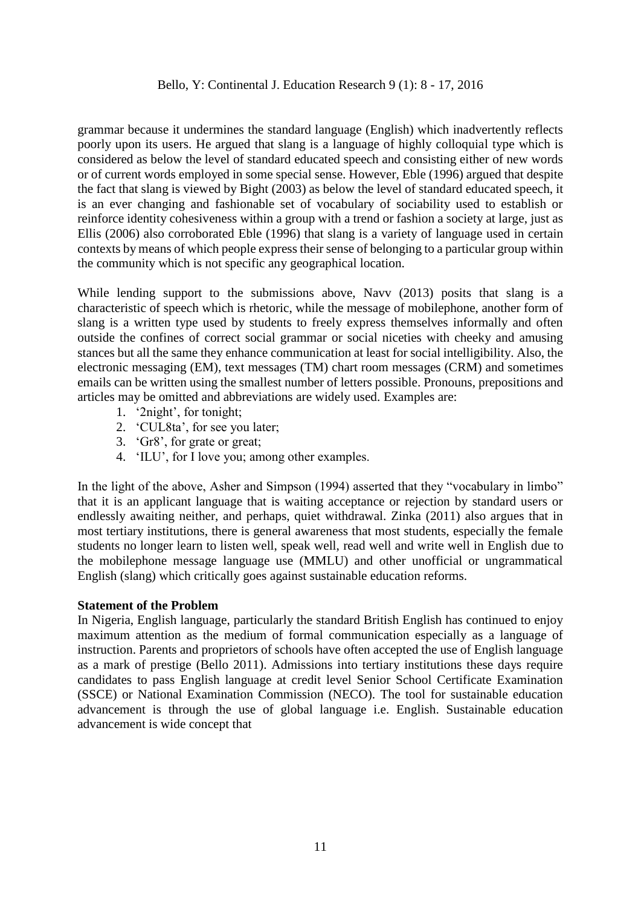grammar because it undermines the standard language (English) which inadvertently reflects poorly upon its users. He argued that slang is a language of highly colloquial type which is considered as below the level of standard educated speech and consisting either of new words or of current words employed in some special sense. However, Eble (1996) argued that despite the fact that slang is viewed by Bight (2003) as below the level of standard educated speech, it is an ever changing and fashionable set of vocabulary of sociability used to establish or reinforce identity cohesiveness within a group with a trend or fashion a society at large, just as Ellis (2006) also corroborated Eble (1996) that slang is a variety of language used in certain contexts by means of which people express their sense of belonging to a particular group within the community which is not specific any geographical location.

While lending support to the submissions above, Navv (2013) posits that slang is a characteristic of speech which is rhetoric, while the message of mobilephone, another form of slang is a written type used by students to freely express themselves informally and often outside the confines of correct social grammar or social niceties with cheeky and amusing stances but all the same they enhance communication at least for social intelligibility. Also, the electronic messaging (EM), text messages (TM) chart room messages (CRM) and sometimes emails can be written using the smallest number of letters possible. Pronouns, prepositions and articles may be omitted and abbreviations are widely used. Examples are:

- 1. '2night', for tonight;
- 2. 'CUL8ta', for see you later;
- 3. 'Gr8', for grate or great;
- 4. 'ILU', for I love you; among other examples.

In the light of the above, Asher and Simpson (1994) asserted that they "vocabulary in limbo" that it is an applicant language that is waiting acceptance or rejection by standard users or endlessly awaiting neither, and perhaps, quiet withdrawal. Zinka (2011) also argues that in most tertiary institutions, there is general awareness that most students, especially the female students no longer learn to listen well, speak well, read well and write well in English due to the mobilephone message language use (MMLU) and other unofficial or ungrammatical English (slang) which critically goes against sustainable education reforms.

#### **Statement of the Problem**

In Nigeria, English language, particularly the standard British English has continued to enjoy maximum attention as the medium of formal communication especially as a language of instruction. Parents and proprietors of schools have often accepted the use of English language as a mark of prestige (Bello 2011). Admissions into tertiary institutions these days require candidates to pass English language at credit level Senior School Certificate Examination (SSCE) or National Examination Commission (NECO). The tool for sustainable education advancement is through the use of global language i.e. English. Sustainable education advancement is wide concept that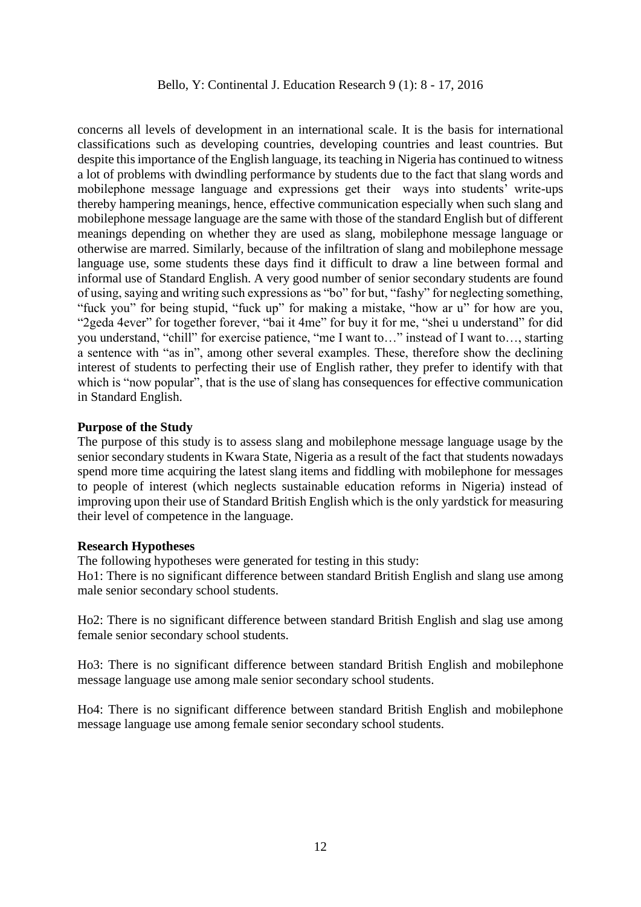concerns all levels of development in an international scale. It is the basis for international classifications such as developing countries, developing countries and least countries. But despite this importance of the English language, its teaching in Nigeria has continued to witness a lot of problems with dwindling performance by students due to the fact that slang words and mobilephone message language and expressions get their ways into students' write-ups thereby hampering meanings, hence, effective communication especially when such slang and mobilephone message language are the same with those of the standard English but of different meanings depending on whether they are used as slang, mobilephone message language or otherwise are marred. Similarly, because of the infiltration of slang and mobilephone message language use, some students these days find it difficult to draw a line between formal and informal use of Standard English. A very good number of senior secondary students are found of using, saying and writing such expressions as "bo" for but, "fashy" for neglecting something, "fuck you" for being stupid, "fuck up" for making a mistake, "how ar u" for how are you, "2geda 4ever" for together forever, "bai it 4me" for buy it for me, "shei u understand" for did you understand, "chill" for exercise patience, "me I want to…" instead of I want to…, starting a sentence with "as in", among other several examples. These, therefore show the declining interest of students to perfecting their use of English rather, they prefer to identify with that which is "now popular", that is the use of slang has consequences for effective communication in Standard English.

## **Purpose of the Study**

The purpose of this study is to assess slang and mobilephone message language usage by the senior secondary students in Kwara State, Nigeria as a result of the fact that students nowadays spend more time acquiring the latest slang items and fiddling with mobilephone for messages to people of interest (which neglects sustainable education reforms in Nigeria) instead of improving upon their use of Standard British English which is the only yardstick for measuring their level of competence in the language.

#### **Research Hypotheses**

The following hypotheses were generated for testing in this study:

Ho1: There is no significant difference between standard British English and slang use among male senior secondary school students.

Ho2: There is no significant difference between standard British English and slag use among female senior secondary school students.

Ho3: There is no significant difference between standard British English and mobilephone message language use among male senior secondary school students.

Ho4: There is no significant difference between standard British English and mobilephone message language use among female senior secondary school students.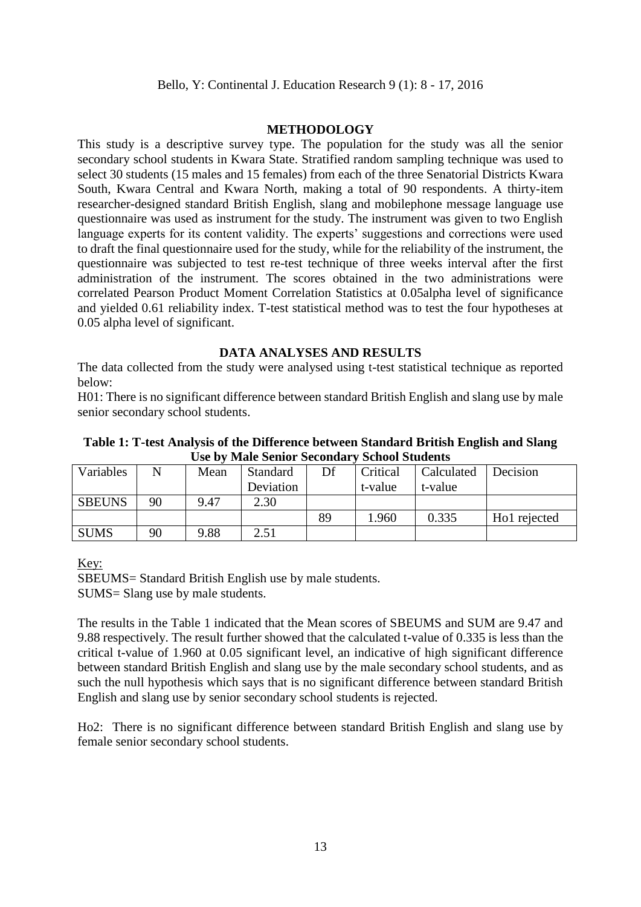## **METHODOLOGY**

This study is a descriptive survey type. The population for the study was all the senior secondary school students in Kwara State. Stratified random sampling technique was used to select 30 students (15 males and 15 females) from each of the three Senatorial Districts Kwara South, Kwara Central and Kwara North, making a total of 90 respondents. A thirty-item researcher-designed standard British English, slang and mobilephone message language use questionnaire was used as instrument for the study. The instrument was given to two English language experts for its content validity. The experts' suggestions and corrections were used to draft the final questionnaire used for the study, while for the reliability of the instrument, the questionnaire was subjected to test re-test technique of three weeks interval after the first administration of the instrument. The scores obtained in the two administrations were correlated Pearson Product Moment Correlation Statistics at 0.05alpha level of significance and yielded 0.61 reliability index. T-test statistical method was to test the four hypotheses at 0.05 alpha level of significant.

# **DATA ANALYSES AND RESULTS**

The data collected from the study were analysed using t-test statistical technique as reported below:

H01: There is no significant difference between standard British English and slang use by male senior secondary school students.

**Table 1: T-test Analysis of the Difference between Standard British English and Slang Use by Male Senior Secondary School Students**

| Variables     | N  | Mean | <b>Standard</b> | Df | Critical | Calculated | Decision     |
|---------------|----|------|-----------------|----|----------|------------|--------------|
|               |    |      | Deviation       |    | t-value  | t-value    |              |
| <b>SBEUNS</b> | 90 | 9.47 | 2.30            |    |          |            |              |
|               |    |      |                 | 89 | .960     | 0.335      | Ho1 rejected |
| <b>SUMS</b>   | 90 | 9.88 | 2.51            |    |          |            |              |

Key:

SBEUMS= Standard British English use by male students. SUMS= Slang use by male students.

The results in the Table 1 indicated that the Mean scores of SBEUMS and SUM are 9.47 and 9.88 respectively. The result further showed that the calculated t-value of 0.335 is less than the critical t-value of 1.960 at 0.05 significant level, an indicative of high significant difference between standard British English and slang use by the male secondary school students, and as such the null hypothesis which says that is no significant difference between standard British English and slang use by senior secondary school students is rejected.

Ho2: There is no significant difference between standard British English and slang use by female senior secondary school students.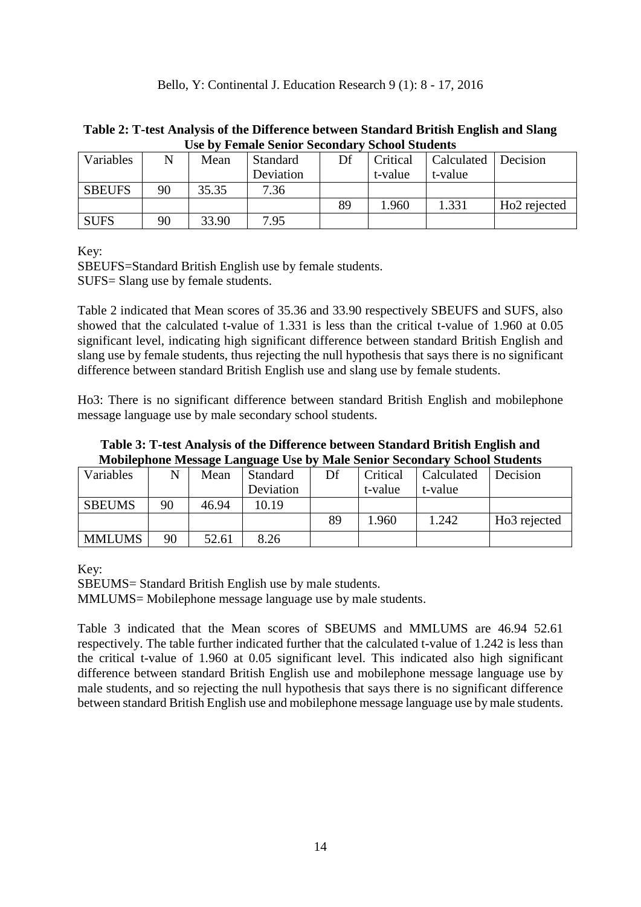| USE DY FEMALE SEMOL SECONDATY SCHOOL SUDDENLS |    |       |                 |    |          |            |                          |  |
|-----------------------------------------------|----|-------|-----------------|----|----------|------------|--------------------------|--|
| Variables                                     | N  | Mean  | <b>Standard</b> | Df | Critical | Calculated | Decision                 |  |
|                                               |    |       | Deviation       |    | t-value  | t-value    |                          |  |
| <b>SBEUFS</b>                                 | 90 | 35.35 | 7.36            |    |          |            |                          |  |
|                                               |    |       |                 | 89 | l.960    | 1.331      | Ho <sub>2</sub> rejected |  |
| <b>SUFS</b>                                   | 90 | 33.90 | 7.95            |    |          |            |                          |  |

# **Table 2: T-test Analysis of the Difference between Standard British English and Slang Use by Female Senior Secondary School Students**

Key:

SBEUFS=Standard British English use by female students. SUFS= Slang use by female students.

Table 2 indicated that Mean scores of 35.36 and 33.90 respectively SBEUFS and SUFS, also showed that the calculated t-value of 1.331 is less than the critical t-value of 1.960 at 0.05 significant level, indicating high significant difference between standard British English and slang use by female students, thus rejecting the null hypothesis that says there is no significant difference between standard British English use and slang use by female students.

Ho3: There is no significant difference between standard British English and mobilephone message language use by male secondary school students.

| Table 3: T-test Analysis of the Difference between Standard British English and  |
|----------------------------------------------------------------------------------|
| <b>Mobilephone Message Language Use by Male Senior Secondary School Students</b> |

| Variables     |    | Mean  | Standard  | Df | Critical | Calculated | Decision                 |
|---------------|----|-------|-----------|----|----------|------------|--------------------------|
|               |    |       | Deviation |    | t-value  | t-value    |                          |
| <b>SBEUMS</b> | 90 | 46.94 | 10.19     |    |          |            |                          |
|               |    |       |           | 89 | .960     | 1.242      | Ho <sub>3</sub> rejected |
| <b>MMLUMS</b> | 90 | 52.61 | 8.26      |    |          |            |                          |

Key:

SBEUMS= Standard British English use by male students.

MMLUMS= Mobilephone message language use by male students.

Table 3 indicated that the Mean scores of SBEUMS and MMLUMS are 46.94 52.61 respectively. The table further indicated further that the calculated t-value of 1.242 is less than the critical t-value of 1.960 at 0.05 significant level. This indicated also high significant difference between standard British English use and mobilephone message language use by male students, and so rejecting the null hypothesis that says there is no significant difference between standard British English use and mobilephone message language use by male students.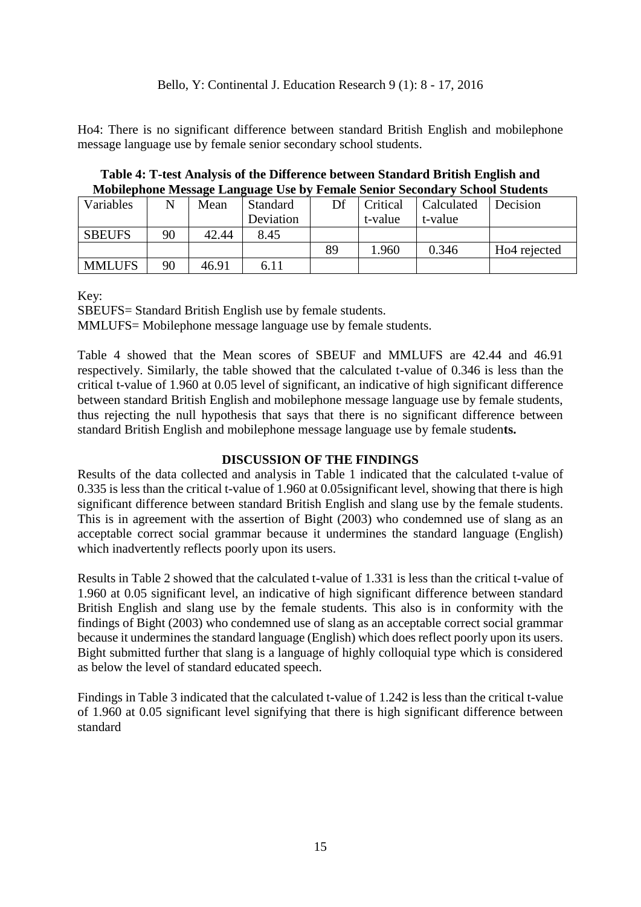Ho4: There is no significant difference between standard British English and mobilephone message language use by female senior secondary school students.

**Table 4: T-test Analysis of the Difference between Standard British English and Mobilephone Message Language Use by Female Senior Secondary School Students**

| Variables     | N  | Mean  | <b>Standard</b> | Df | Critical | Calculated | Decision                 |
|---------------|----|-------|-----------------|----|----------|------------|--------------------------|
|               |    |       | Deviation       |    | t-value  | t-value    |                          |
| <b>SBEUFS</b> | 90 | 42.44 | 8.45            |    |          |            |                          |
|               |    |       |                 | 89 | .960     | 0.346      | Ho <sub>4</sub> rejected |
| <b>MMLUFS</b> | 90 | 46.91 | 6.11            |    |          |            |                          |

Key:

SBEUFS= Standard British English use by female students.

MMLUFS= Mobilephone message language use by female students.

Table 4 showed that the Mean scores of SBEUF and MMLUFS are 42.44 and 46.91 respectively. Similarly, the table showed that the calculated t-value of 0.346 is less than the critical t-value of 1.960 at 0.05 level of significant, an indicative of high significant difference between standard British English and mobilephone message language use by female students, thus rejecting the null hypothesis that says that there is no significant difference between standard British English and mobilephone message language use by female studen**ts.**

# **DISCUSSION OF THE FINDINGS**

Results of the data collected and analysis in Table 1 indicated that the calculated t-value of 0.335 is less than the critical t-value of 1.960 at 0.05significant level, showing that there is high significant difference between standard British English and slang use by the female students. This is in agreement with the assertion of Bight (2003) who condemned use of slang as an acceptable correct social grammar because it undermines the standard language (English) which inadvertently reflects poorly upon its users.

Results in Table 2 showed that the calculated t-value of 1.331 is less than the critical t-value of 1.960 at 0.05 significant level, an indicative of high significant difference between standard British English and slang use by the female students. This also is in conformity with the findings of Bight (2003) who condemned use of slang as an acceptable correct social grammar because it undermines the standard language (English) which does reflect poorly upon its users. Bight submitted further that slang is a language of highly colloquial type which is considered as below the level of standard educated speech.

Findings in Table 3 indicated that the calculated t-value of 1.242 is less than the critical t-value of 1.960 at 0.05 significant level signifying that there is high significant difference between standard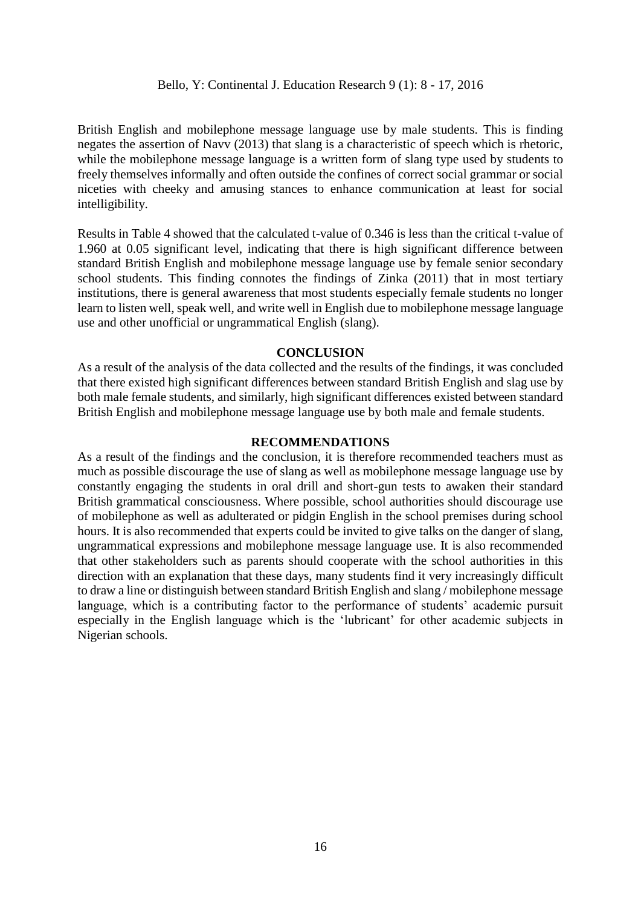British English and mobilephone message language use by male students. This is finding negates the assertion of Navv (2013) that slang is a characteristic of speech which is rhetoric, while the mobilephone message language is a written form of slang type used by students to freely themselves informally and often outside the confines of correct social grammar or social niceties with cheeky and amusing stances to enhance communication at least for social intelligibility.

Results in Table 4 showed that the calculated t-value of 0.346 is less than the critical t-value of 1.960 at 0.05 significant level, indicating that there is high significant difference between standard British English and mobilephone message language use by female senior secondary school students. This finding connotes the findings of Zinka (2011) that in most tertiary institutions, there is general awareness that most students especially female students no longer learn to listen well, speak well, and write well in English due to mobilephone message language use and other unofficial or ungrammatical English (slang).

## **CONCLUSION**

As a result of the analysis of the data collected and the results of the findings, it was concluded that there existed high significant differences between standard British English and slag use by both male female students, and similarly, high significant differences existed between standard British English and mobilephone message language use by both male and female students.

## **RECOMMENDATIONS**

As a result of the findings and the conclusion, it is therefore recommended teachers must as much as possible discourage the use of slang as well as mobilephone message language use by constantly engaging the students in oral drill and short-gun tests to awaken their standard British grammatical consciousness. Where possible, school authorities should discourage use of mobilephone as well as adulterated or pidgin English in the school premises during school hours. It is also recommended that experts could be invited to give talks on the danger of slang, ungrammatical expressions and mobilephone message language use. It is also recommended that other stakeholders such as parents should cooperate with the school authorities in this direction with an explanation that these days, many students find it very increasingly difficult to draw a line or distinguish between standard British English and slang / mobilephone message language, which is a contributing factor to the performance of students' academic pursuit especially in the English language which is the 'lubricant' for other academic subjects in Nigerian schools.